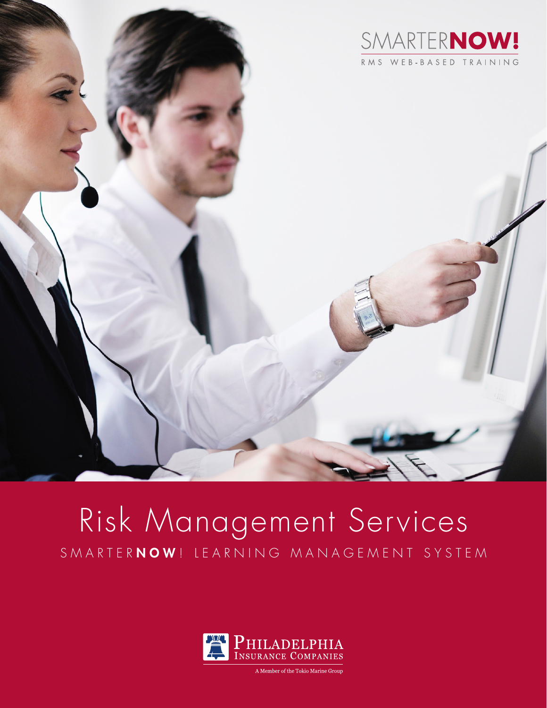

# Risk Management Services SMARTERNOW! LEARNING MANAGEMENT SYSTEM



A Member of the Tokio Marine Group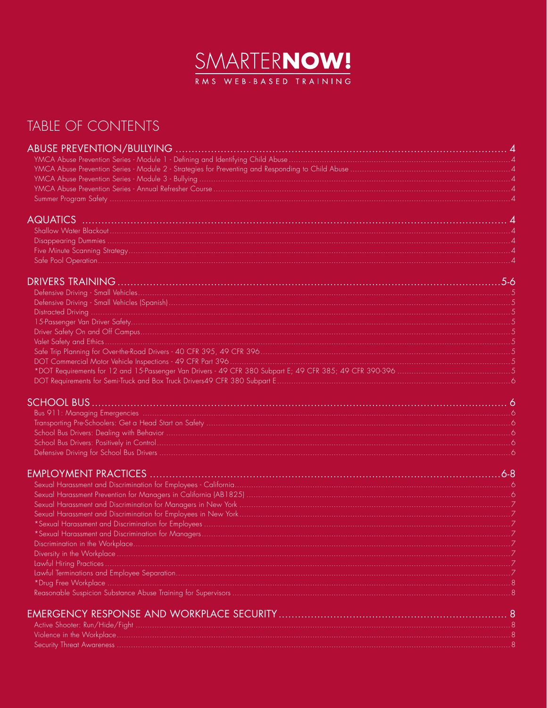

### TABLE OF CONTENTS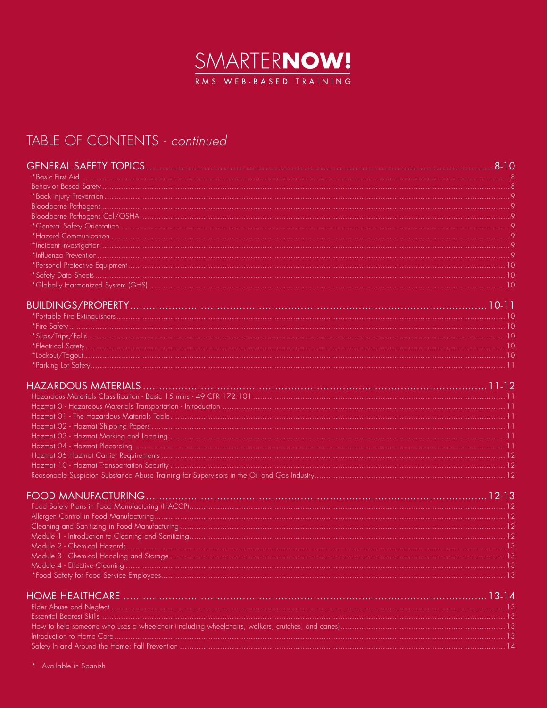

### TABLE OF CONTENTS - continued

\* - Available in Spanish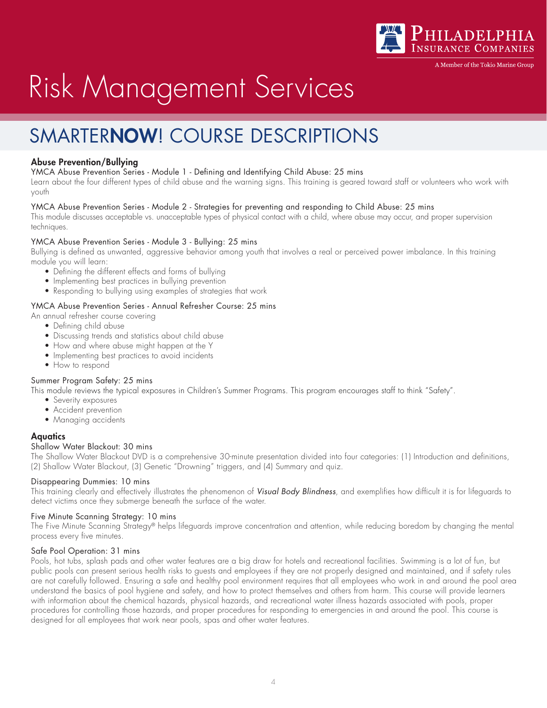

A Member of the Tokio Marine Group

# Risk Management Services

### SMARTERNOW! COURSE DESCRIPTIONS

#### Abuse Prevention/Bullying

YMCA Abuse Prevention Series - Module 1 - Defining and Identifying Child Abuse: 25 mins

Learn about the four different types of child abuse and the warning signs. This training is geared toward staff or volunteers who work with youth

#### YMCA Abuse Prevention Series - Module 2 - Strategies for preventing and responding to Child Abuse: 25 mins

This module discusses acceptable vs. unacceptable types of physical contact with a child, where abuse may occur, and proper supervision techniques.

#### YMCA Abuse Prevention Series - Module 3 - Bullying: 25 mins

Bullying is defined as unwanted, aggressive behavior among youth that involves a real or perceived power imbalance. In this training module you will learn:

- Defining the different effects and forms of bullying
- Implementing best practices in bullying prevention
- Responding to bullying using examples of strategies that work

#### YMCA Abuse Prevention Series - Annual Refresher Course: 25 mins

An annual refresher course covering

- Defining child abuse
- Discussing trends and statistics about child abuse
- How and where abuse might happen at the Y
- Implementing best practices to avoid incidents
- How to respond

#### Summer Program Safety: 25 mins

This module reviews the typical exposures in Children's Summer Programs. This program encourages staff to think "Safety".

- Severity exposures
- Accident prevention
- Managing accidents

#### **Aquatics**

#### Shallow Water Blackout: 30 mins

The Shallow Water Blackout DVD is a comprehensive 30-minute presentation divided into four categories: (1) Introduction and definitions, (2) Shallow Water Blackout, (3) Genetic "Drowning" triggers, and (4) Summary and quiz.

#### Disappearing Dummies: 10 mins

This training clearly and effectively illustrates the phenomenon of *Visual Body Blindness*, and exemplifies how difficult it is for lifeguards to detect victims once they submerge beneath the surface of the water.

#### Five Minute Scanning Strategy: 10 mins

The Five Minute Scanning Strategy® helps lifeguards improve concentration and attention, while reducing boredom by changing the mental process every five minutes.

#### Safe Pool Operation: 31 mins

Pools, hot tubs, splash pads and other water features are a big draw for hotels and recreational facilities. Swimming is a lot of fun, but public pools can present serious health risks to guests and employees if they are not properly designed and maintained, and if safety rules are not carefully followed. Ensuring a safe and healthy pool environment requires that all employees who work in and around the pool area understand the basics of pool hygiene and safety, and how to protect themselves and others from harm. This course will provide learners with information about the chemical hazards, physical hazards, and recreational water illness hazards associated with pools, proper procedures for controlling those hazards, and proper procedures for responding to emergencies in and around the pool. This course is designed for all employees that work near pools, spas and other water features.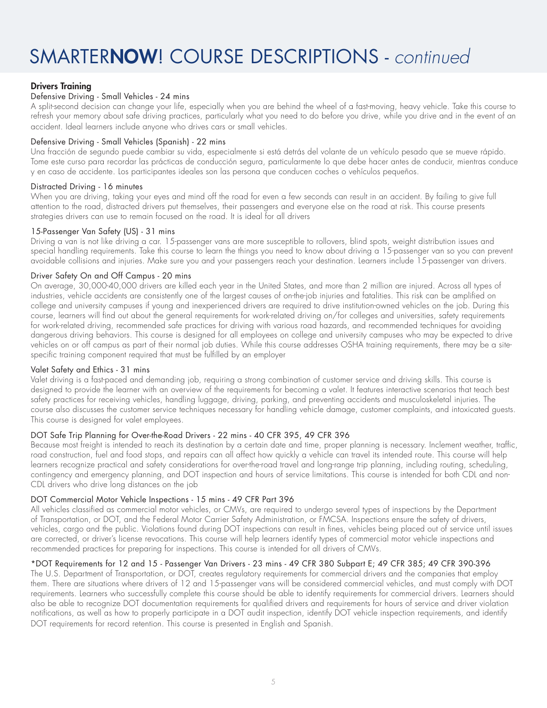#### Drivers Training

#### Defensive Driving - Small Vehicles - 24 mins

A split-second decision can change your life, especially when you are behind the wheel of a fast-moving, heavy vehicle. Take this course to refresh your memory about safe driving practices, particularly what you need to do before you drive, while you drive and in the event of an accident. Ideal learners include anyone who drives cars or small vehicles.

#### Defensive Driving - Small Vehicles (Spanish) - 22 mins

Una fracción de segundo puede cambiar su vida, especialmente si está detrás del volante de un vehículo pesado que se mueve rápido. Tome este curso para recordar las prácticas de conducción segura, particularmente lo que debe hacer antes de conducir, mientras conduce y en caso de accidente. Los participantes ideales son las persona que conducen coches o vehículos pequeños.

#### Distracted Driving - 16 minutes

When you are driving, taking your eyes and mind off the road for even a few seconds can result in an accident. By failing to give full attention to the road, distracted drivers put themselves, their passengers and everyone else on the road at risk. This course presents strategies drivers can use to remain focused on the road. It is ideal for all drivers

#### 15-Passenger Van Safety (US) - 31 mins

Driving a van is not like driving a car. 15-passenger vans are more susceptible to rollovers, blind spots, weight distribution issues and special handling requirements. Take this course to learn the things you need to know about driving a 15-passenger van so you can prevent avoidable collisions and injuries. Make sure you and your passengers reach your destination. Learners include 15-passenger van drivers.

#### Driver Safety On and Off Campus - 20 mins

On average, 30,000-40,000 drivers are killed each year in the United States, and more than 2 million are injured. Across all types of industries, vehicle accidents are consistently one of the largest causes of on-the-job injuries and fatalities. This risk can be amplified on college and university campuses if young and inexperienced drivers are required to drive institution-owned vehicles on the job. During this course, learners will find out about the general requirements for work-related driving on/for colleges and universities, safety requirements for work-related driving, recommended safe practices for driving with various road hazards, and recommended techniques for avoiding dangerous driving behaviors. This course is designed for all employees on college and university campuses who may be expected to drive vehicles on or off campus as part of their normal job duties. While this course addresses OSHA training requirements, there may be a sitespecific training component required that must be fulfilled by an employer

#### Valet Safety and Ethics - 31 mins

Valet driving is a fast-paced and demanding job, requiring a strong combination of customer service and driving skills. This course is designed to provide the learner with an overview of the requirements for becoming a valet. It features interactive scenarios that teach best safety practices for receiving vehicles, handling luggage, driving, parking, and preventing accidents and musculoskeletal injuries. The course also discusses the customer service techniques necessary for handling vehicle damage, customer complaints, and intoxicated guests. This course is designed for valet employees.

#### DOT Safe Trip Planning for Over-the-Road Drivers - 22 mins - 40 CFR 395, 49 CFR 396

Because most freight is intended to reach its destination by a certain date and time, proper planning is necessary. Inclement weather, traffic, road construction, fuel and food stops, and repairs can all affect how quickly a vehicle can travel its intended route. This course will help learners recognize practical and safety considerations for over-the-road travel and long-range trip planning, including routing, scheduling, contingency and emergency planning, and DOT inspection and hours of service limitations. This course is intended for both CDL and non-CDL drivers who drive long distances on the job

#### DOT Commercial Motor Vehicle Inspections - 15 mins - 49 CFR Part 396

All vehicles classified as commercial motor vehicles, or CMVs, are required to undergo several types of inspections by the Department of Transportation, or DOT, and the Federal Motor Carrier Safety Administration, or FMCSA. Inspections ensure the safety of drivers, vehicles, cargo and the public. Violations found during DOT inspections can result in fines, vehicles being placed out of service until issues are corrected, or driver's license revocations. This course will help learners identify types of commercial motor vehicle inspections and recommended practices for preparing for inspections. This course is intended for all drivers of CMVs.

#### \*DOT Requirements for 12 and 15 - Passenger Van Drivers - 23 mins - 49 CFR 380 Subpart E; 49 CFR 385; 49 CFR 390-396

The U.S. Department of Transportation, or DOT, creates regulatory requirements for commercial drivers and the companies that employ them. There are situations where drivers of 12 and 15-passenger vans will be considered commercial vehicles, and must comply with DOT requirements. Learners who successfully complete this course should be able to identify requirements for commercial drivers. Learners should also be able to recognize DOT documentation requirements for qualified drivers and requirements for hours of service and driver violation notifications, as well as how to properly participate in a DOT audit inspection, identify DOT vehicle inspection requirements, and identify DOT requirements for record retention. This course is presented in English and Spanish.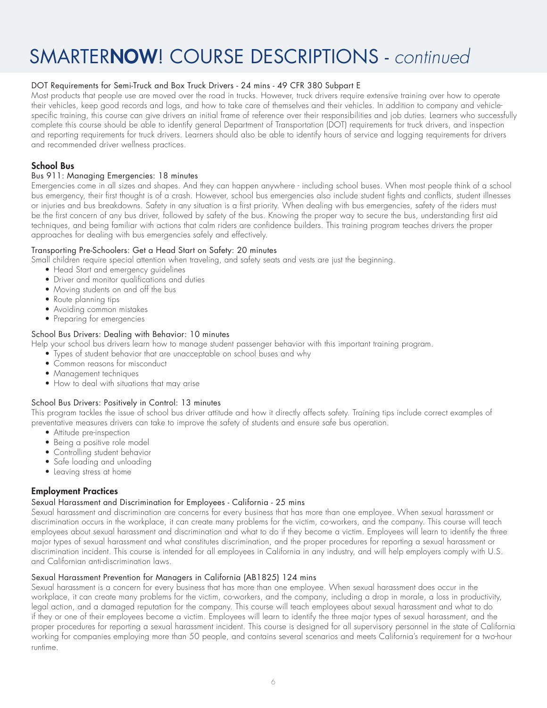#### DOT Requirements for Semi-Truck and Box Truck Drivers - 24 mins - 49 CFR 380 Subpart E

Most products that people use are moved over the road in trucks. However, truck drivers require extensive training over how to operate their vehicles, keep good records and logs, and how to take care of themselves and their vehicles. In addition to company and vehiclespecific training, this course can give drivers an initial frame of reference over their responsibilities and job duties. Learners who successfully complete this course should be able to identify general Department of Transportation (DOT) requirements for truck drivers, and inspection and reporting requirements for truck drivers. Learners should also be able to identify hours of service and logging requirements for drivers and recommended driver wellness practices.

#### School Bus

#### Bus 911: Managing Emergencies: 18 minutes

Emergencies come in all sizes and shapes. And they can happen anywhere - including school buses. When most people think of a school bus emergency, their first thought is of a crash. However, school bus emergencies also include student fights and conflicts, student illnesses or injuries and bus breakdowns. Safety in any situation is a first priority. When dealing with bus emergencies, safety of the riders must be the first concern of any bus driver, followed by safety of the bus. Knowing the proper way to secure the bus, understanding first aid techniques, and being familiar with actions that calm riders are confidence builders. This training program teaches drivers the proper approaches for dealing with bus emergencies safely and effectively.

#### Transporting Pre-Schoolers: Get a Head Start on Safety: 20 minutes

Small children require special attention when traveling, and safety seats and vests are just the beginning.

- Head Start and emergency guidelines
- Driver and monitor qualifications and duties
- Moving students on and off the bus
- Route planning tips
- Avoiding common mistakes
- Preparing for emergencies

#### School Bus Drivers: Dealing with Behavior: 10 minutes

Help your school bus drivers learn how to manage student passenger behavior with this important training program.

- Types of student behavior that are unacceptable on school buses and why
- Common reasons for misconduct
- Management techniques
- How to deal with situations that may arise

#### School Bus Drivers: Positively in Control: 13 minutes

This program tackles the issue of school bus driver attitude and how it directly affects safety. Training tips include correct examples of preventative measures drivers can take to improve the safety of students and ensure safe bus operation.

- Attitude pre-inspection
- Being a positive role model
- Controlling student behavior
- Safe loading and unloading
- Leaving stress at home

#### Employment Practices

#### Sexual Harassment and Discrimination for Employees - California - 25 mins

Sexual harassment and discrimination are concerns for every business that has more than one employee. When sexual harassment or discrimination occurs in the workplace, it can create many problems for the victim, co-workers, and the company. This course will teach employees about sexual harassment and discrimination and what to do if they become a victim. Employees will learn to identify the three major types of sexual harassment and what constitutes discrimination, and the proper procedures for reporting a sexual harassment or discrimination incident. This course is intended for all employees in California in any industry, and will help employers comply with U.S. and Californian anti-discrimination laws.

#### Sexual Harassment Prevention for Managers in California (AB1825) 124 mins

Sexual harassment is a concern for every business that has more than one employee. When sexual harassment does occur in the workplace, it can create many problems for the victim, co-workers, and the company, including a drop in morale, a loss in productivity, legal action, and a damaged reputation for the company. This course will teach employees about sexual harassment and what to do if they or one of their employees become a victim. Employees will learn to identify the three major types of sexual harassment, and the proper procedures for reporting a sexual harassment incident. This course is designed for all supervisory personnel in the state of California working for companies employing more than 50 people, and contains several scenarios and meets California's requirement for a two-hour runtime.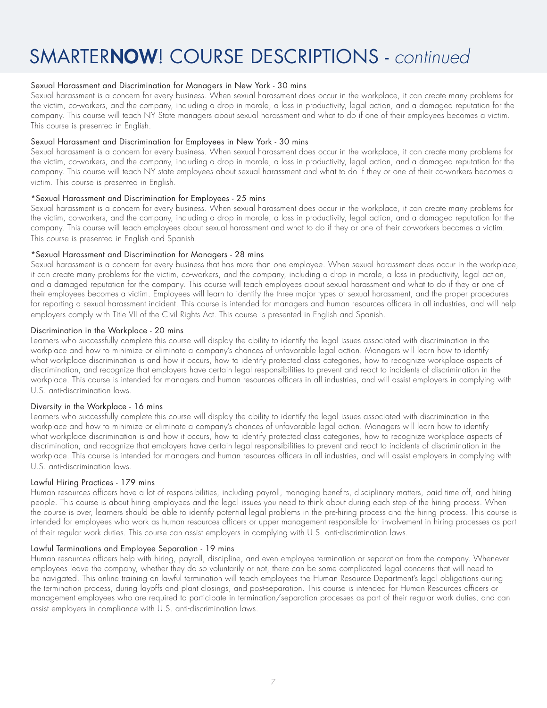#### Sexual Harassment and Discrimination for Managers in New York - 30 mins

Sexual harassment is a concern for every business. When sexual harassment does occur in the workplace, it can create many problems for the victim, co-workers, and the company, including a drop in morale, a loss in productivity, legal action, and a damaged reputation for the company. This course will teach NY State managers about sexual harassment and what to do if one of their employees becomes a victim. This course is presented in English.

#### Sexual Harassment and Discrimination for Employees in New York - 30 mins

Sexual harassment is a concern for every business. When sexual harassment does occur in the workplace, it can create many problems for the victim, co-workers, and the company, including a drop in morale, a loss in productivity, legal action, and a damaged reputation for the company. This course will teach NY state employees about sexual harassment and what to do if they or one of their co-workers becomes a victim. This course is presented in English.

#### \*Sexual Harassment and Discrimination for Employees - 25 mins

Sexual harassment is a concern for every business. When sexual harassment does occur in the workplace, it can create many problems for the victim, co-workers, and the company, including a drop in morale, a loss in productivity, legal action, and a damaged reputation for the company. This course will teach employees about sexual harassment and what to do if they or one of their co-workers becomes a victim. This course is presented in English and Spanish.

#### \*Sexual Harassment and Discrimination for Managers - 28 mins

Sexual harassment is a concern for every business that has more than one employee. When sexual harassment does occur in the workplace, it can create many problems for the victim, co-workers, and the company, including a drop in morale, a loss in productivity, legal action, and a damaged reputation for the company. This course will teach employees about sexual harassment and what to do if they or one of their employees becomes a victim. Employees will learn to identify the three major types of sexual harassment, and the proper procedures for reporting a sexual harassment incident. This course is intended for managers and human resources officers in all industries, and will help employers comply with Title VII of the Civil Rights Act. This course is presented in English and Spanish.

#### Discrimination in the Workplace - 20 mins

Learners who successfully complete this course will display the ability to identify the legal issues associated with discrimination in the workplace and how to minimize or eliminate a company's chances of unfavorable legal action. Managers will learn how to identify what workplace discrimination is and how it occurs, how to identify protected class categories, how to recognize workplace aspects of discrimination, and recognize that employers have certain legal responsibilities to prevent and react to incidents of discrimination in the workplace. This course is intended for managers and human resources officers in all industries, and will assist employers in complying with U.S. anti-discrimination laws.

#### Diversity in the Workplace - 16 mins

Learners who successfully complete this course will display the ability to identify the legal issues associated with discrimination in the workplace and how to minimize or eliminate a company's chances of unfavorable legal action. Managers will learn how to identify what workplace discrimination is and how it occurs, how to identify protected class categories, how to recognize workplace aspects of discrimination, and recognize that employers have certain legal responsibilities to prevent and react to incidents of discrimination in the workplace. This course is intended for managers and human resources officers in all industries, and will assist employers in complying with U.S. anti-discrimination laws.

#### Lawful Hiring Practices - 179 mins

Human resources officers have a lot of responsibilities, including payroll, managing benefits, disciplinary matters, paid time off, and hiring people. This course is about hiring employees and the legal issues you need to think about during each step of the hiring process. When the course is over, learners should be able to identify potential legal problems in the pre-hiring process and the hiring process. This course is intended for employees who work as human resources officers or upper management responsible for involvement in hiring processes as part of their regular work duties. This course can assist employers in complying with U.S. anti-discrimination laws.

#### Lawful Terminations and Employee Separation - 19 mins

Human resources officers help with hiring, payroll, discipline, and even employee termination or separation from the company. Whenever employees leave the company, whether they do so voluntarily or not, there can be some complicated legal concerns that will need to be navigated. This online training on lawful termination will teach employees the Human Resource Department's legal obligations during the termination process, during layoffs and plant closings, and post-separation. This course is intended for Human Resources officers or management employees who are required to participate in termination/separation processes as part of their regular work duties, and can assist employers in compliance with U.S. anti-discrimination laws.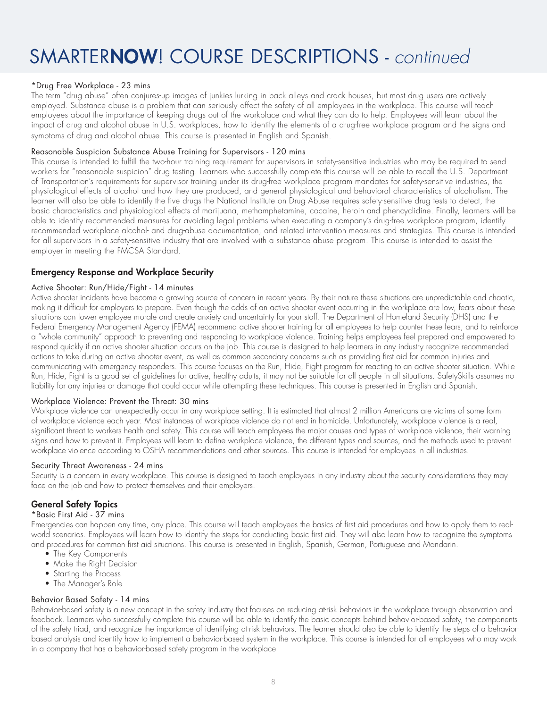#### \*Drug Free Workplace - 23 mins

The term "drug abuse" often conjures-up images of junkies lurking in back alleys and crack houses, but most drug users are actively employed. Substance abuse is a problem that can seriously affect the safety of all employees in the workplace. This course will teach employees about the importance of keeping drugs out of the workplace and what they can do to help. Employees will learn about the impact of drug and alcohol abuse in U.S. workplaces, how to identify the elements of a drug-free workplace program and the signs and symptoms of drug and alcohol abuse. This course is presented in English and Spanish.

#### Reasonable Suspicion Substance Abuse Training for Supervisors - 120 mins

This course is intended to fulfill the two-hour training requirement for supervisors in safety-sensitive industries who may be required to send workers for "reasonable suspicion" drug testing. Learners who successfully complete this course will be able to recall the U.S. Department of Transportation's requirements for supervisor training under its drug-free workplace program mandates for safety-sensitive industries, the physiological effects of alcohol and how they are produced, and general physiological and behavioral characteristics of alcoholism. The learner will also be able to identify the five drugs the National Institute on Drug Abuse requires safety-sensitive drug tests to detect, the basic characteristics and physiological effects of marijuana, methamphetamine, cocaine, heroin and phencyclidine. Finally, learners will be able to identify recommended measures for avoiding legal problems when executing a company's drug-free workplace program, identify recommended workplace alcohol- and drug-abuse documentation, and related intervention measures and strategies. This course is intended for all supervisors in a safety-sensitive industry that are involved with a substance abuse program. This course is intended to assist the employer in meeting the FMCSA Standard.

#### Emergency Response and Workplace Security

#### Active Shooter: Run/Hide/Fight - 14 minutes

Active shooter incidents have become a growing source of concern in recent years. By their nature these situations are unpredictable and chaotic, making it difficult for employers to prepare. Even though the odds of an active shooter event occurring in the workplace are low, fears about these situations can lower employee morale and create anxiety and uncertainty for your staff. The Department of Homeland Security (DHS) and the Federal Emergency Management Agency (FEMA) recommend active shooter training for all employees to help counter these fears, and to reinforce a "whole community" approach to preventing and responding to workplace violence. Training helps employees feel prepared and empowered to respond quickly if an active shooter situation occurs on the job. This course is designed to help learners in any industry recognize recommended actions to take during an active shooter event, as well as common secondary concerns such as providing first aid for common injuries and communicating with emergency responders. This course focuses on the Run, Hide, Fight program for reacting to an active shooter situation. While Run, Hide, Fight is a good set of guidelines for active, healthy adults, it may not be suitable for all people in all situations. SafetySkills assumes no liability for any injuries or damage that could occur while attempting these techniques. This course is presented in English and Spanish.

#### Workplace Violence: Prevent the Threat: 30 mins

Workplace violence can unexpectedly occur in any workplace setting. It is estimated that almost 2 million Americans are victims of some form of workplace violence each year. Most instances of workplace violence do not end in homicide. Unfortunately, workplace violence is a real, significant threat to workers health and safety. This course will teach employees the major causes and types of workplace violence, their warning signs and how to prevent it. Employees will learn to define workplace violence, the different types and sources, and the methods used to prevent workplace violence according to OSHA recommendations and other sources. This course is intended for employees in all industries.

#### Security Threat Awareness - 24 mins

Security is a concern in every workplace. This course is designed to teach employees in any industry about the security considerations they may face on the job and how to protect themselves and their employers.

#### General Safety Topics

#### \*Basic First Aid - 37 mins

Emergencies can happen any time, any place. This course will teach employees the basics of first aid procedures and how to apply them to realworld scenarios. Employees will learn how to identify the steps for conducting basic first aid. They will also learn how to recognize the symptoms and procedures for common first aid situations. This course is presented in English, Spanish, German, Portuguese and Mandarin.

- The Key Components
- Make the Right Decision
- Starting the Process
- The Manager's Role

#### Behavior Based Safety - 14 mins

Behavior-based safety is a new concept in the safety industry that focuses on reducing at-risk behaviors in the workplace through observation and feedback. Learners who successfully complete this course will be able to identify the basic concepts behind behavior-based safety, the components of the safety triad, and recognize the importance of identifying at-risk behaviors. The learner should also be able to identify the steps of a behaviorbased analysis and identify how to implement a behavior-based system in the workplace. This course is intended for all employees who may work in a company that has a behavior-based safety program in the workplace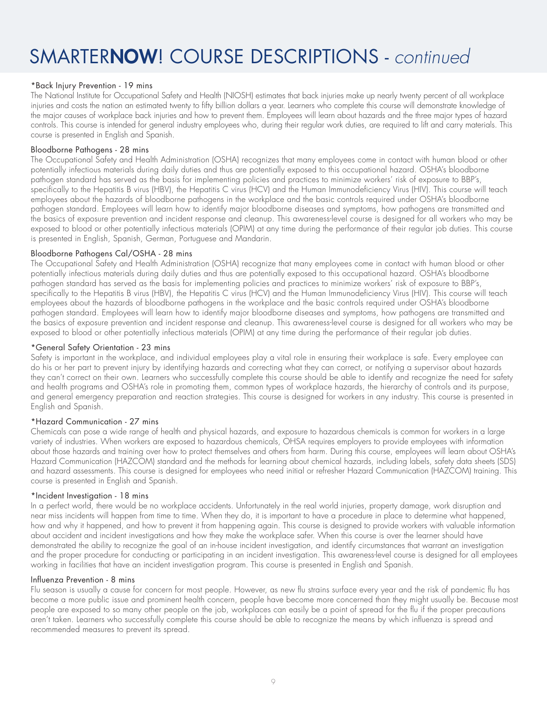#### \*Back Injury Prevention - 19 mins

The National Institute for Occupational Safety and Health (NIOSH) estimates that back injuries make up nearly twenty percent of all workplace injuries and costs the nation an estimated twenty to fifty billion dollars a year. Learners who complete this course will demonstrate knowledge of the major causes of workplace back injuries and how to prevent them. Employees will learn about hazards and the three major types of hazard controls. This course is intended for general industry employees who, during their regular work duties, are required to lift and carry materials. This course is presented in English and Spanish.

#### Bloodborne Pathogens - 28 mins

The Occupational Safety and Health Administration (OSHA) recognizes that many employees come in contact with human blood or other potentially infectious materials during daily duties and thus are potentially exposed to this occupational hazard. OSHA's bloodborne pathogen standard has served as the basis for implementing policies and practices to minimize workers' risk of exposure to BBP's, specifically to the Hepatitis B virus (HBV), the Hepatitis C virus (HCV) and the Human Immunodeficiency Virus (HIV). This course will teach employees about the hazards of bloodborne pathogens in the workplace and the basic controls required under OSHA's bloodborne pathogen standard. Employees will learn how to identify major bloodborne diseases and symptoms, how pathogens are transmitted and the basics of exposure prevention and incident response and cleanup. This awareness-level course is designed for all workers who may be exposed to blood or other potentially infectious materials (OPIM) at any time during the performance of their regular job duties. This course is presented in English, Spanish, German, Portuguese and Mandarin.

#### Bloodborne Pathogens Cal/OSHA - 28 mins

The Occupational Safety and Health Administration (OSHA) recognize that many employees come in contact with human blood or other potentially infectious materials during daily duties and thus are potentially exposed to this occupational hazard. OSHA's bloodborne pathogen standard has served as the basis for implementing policies and practices to minimize workers' risk of exposure to BBP's, specifically to the Hepatitis B virus (HBV), the Hepatitis C virus (HCV) and the Human Immunodeficiency Virus (HIV). This course will teach employees about the hazards of bloodborne pathogens in the workplace and the basic controls required under OSHA's bloodborne pathogen standard. Employees will learn how to identify major bloodborne diseases and symptoms, how pathogens are transmitted and the basics of exposure prevention and incident response and cleanup. This awareness-level course is designed for all workers who may be exposed to blood or other potentially infectious materials (OPIM) at any time during the performance of their regular job duties.

#### \*General Safety Orientation - 23 mins

Safety is important in the workplace, and individual employees play a vital role in ensuring their workplace is safe. Every employee can do his or her part to prevent injury by identifying hazards and correcting what they can correct, or notifying a supervisor about hazards they can't correct on their own. Learners who successfully complete this course should be able to identify and recognize the need for safety and health programs and OSHA's role in promoting them, common types of workplace hazards, the hierarchy of controls and its purpose, and general emergency preparation and reaction strategies. This course is designed for workers in any industry. This course is presented in English and Spanish.

#### \*Hazard Communication - 27 mins

Chemicals can pose a wide range of health and physical hazards, and exposure to hazardous chemicals is common for workers in a large variety of industries. When workers are exposed to hazardous chemicals, OHSA requires employers to provide employees with information about those hazards and training over how to protect themselves and others from harm. During this course, employees will learn about OSHA's Hazard Communication (HAZCOM) standard and the methods for learning about chemical hazards, including labels, safety data sheets (SDS) and hazard assessments. This course is designed for employees who need initial or refresher Hazard Communication (HAZCOM) training. This course is presented in English and Spanish.

#### \*Incident Investigation - 18 mins

In a perfect world, there would be no workplace accidents. Unfortunately in the real world injuries, property damage, work disruption and near miss incidents will happen from time to time. When they do, it is important to have a procedure in place to determine what happened, how and why it happened, and how to prevent it from happening again. This course is designed to provide workers with valuable information about accident and incident investigations and how they make the workplace safer. When this course is over the learner should have demonstrated the ability to recognize the goal of an in-house incident investigation, and identify circumstances that warrant an investigation and the proper procedure for conducting or participating in an incident investigation. This awareness-level course is designed for all employees working in facilities that have an incident investigation program. This course is presented in English and Spanish.

#### Influenza Prevention - 8 mins

Flu season is usually a cause for concern for most people. However, as new flu strains surface every year and the risk of pandemic flu has become a more public issue and prominent health concern, people have become more concerned than they might usually be. Because most people are exposed to so many other people on the job, workplaces can easily be a point of spread for the flu if the proper precautions aren't taken. Learners who successfully complete this course should be able to recognize the means by which influenza is spread and recommended measures to prevent its spread.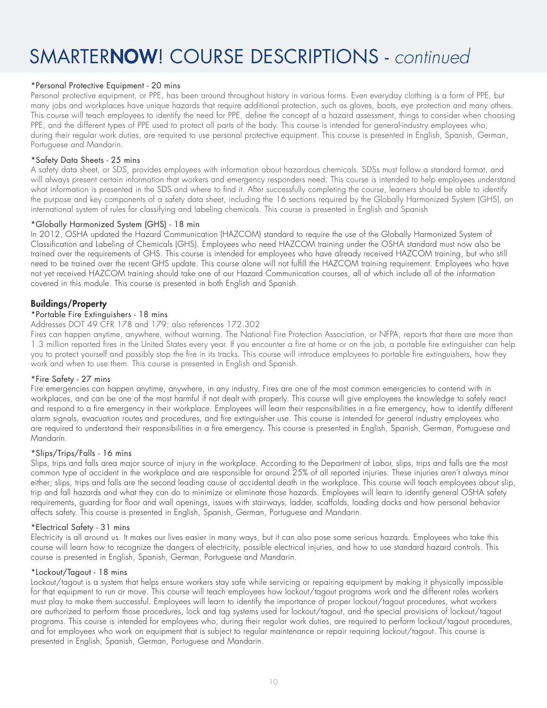#### \*Personal Protective Equipment - 20 mins

Personal protective equipment, or PPE, has been around throughout history in various forms. Even everyday clothing is a form of PPE, but many jobs and workplaces have unique hazards that require additional protection, such as gloves, boots, eye protection and many others. This course will teach employees to identify the need for PPE, define the concept of a hazard assessment, things to consider when choosing PPE, and the different types of PPE used to protect all parts of the body. This course is intended for general-industry employees who, during their regular work duties, are required to use personal protective equipment. This course is presented in English, Spanish, German, Portuguese and Mandarin.

#### \*Safety Data Sheets - 25 mins

A safety data sheet, or SDS, provides employees with information about hazardous chemicals. SDSs must follow a standard format, and will always present certain information that workers and emergency responders need. This course is intended to help employees understand what information is presented in the SDS and where to find it. After successfully completing the course, learners should be able to identify the purpose and key components of a safety data sheet, including the 16 sections required by the Globally Harmonized System (GHS), an international system of rules for classifying and labeling chemicals. This course is presented in English and Spanish

#### \*Globally Harmonized System (GHS) - 18 min

In 2012, OSHA updated the Hazard Communication (HAZCOM) standard to require the use of the Globally Harmonized System of Classification and Labeling of Chemicals (GHS). Employees who need HAZCOM training under the OSHA standard must now also be trained over the requirements of GHS. This course is intended for employees who have already received HAZCOM training, but who still need to be trained over the recent GHS update. This course alone will not fulfill the HAZCOM training requirement. Employees who have not yet received HAZCOM training should take one of our Hazard Communication courses, all of which include all of the information covered in this module. This course is presented in both English and Spanish.

#### Buildings/Property

#### \*Portable Fire Extinguishers - 18 mins

#### Addresses DOT 49 CFR 178 and 179; also references 172.302

Fires can happen anytime, anywhere, without warning. The National Fire Protection Association, or NFPA, reports that there are more than 1.3 million reported fires in the United States every year. If you encounter a fire at home or on the job, a portable fire extinguisher can help you to protect yourself and possibly stop the fire in its tracks. This course will introduce employees to portable fire extinguishers, how they work and when to use them. This course is presented in English and Spanish.

#### \*Fire Safety - 27 mins

Fire emergencies can happen anytime, anywhere, in any industry. Fires are one of the most common emergencies to contend with in workplaces, and can be one of the most harmful if not dealt with properly. This course will give employees the knowledge to safely react and respond to a fire emergency in their workplace. Employees will learn their responsibilities in a fire emergency, how to identify different alarm signals, evacuation routes and procedures, and fire extinguisher use. This course is intended for general industry employees who are required to understand their responsibilities in a fire emergency. This course is presented in English, Spanish, German, Portuguese and Mandarin.

#### \*Slips/Trips/Falls - 16 mins

Slips, trips and falls area major source of injury in the workplace. According to the Department of Labor, slips, trips and falls are the most common type of accident in the workplace and are responsible for around 25% of all reported injuries. These injuries aren't always minor either; slips, trips and falls are the second leading cause of accidental death in the workplace. This course will teach employees about slip, trip and fall hazards and what they can do to minimize or eliminate those hazards. Employees will learn to identify general OSHA safety requirements, guarding for floor and wall openings, issues with stairways, ladder, scaffolds, loading docks and how personal behavior affects safety. This course is presented in English, Spanish, German, Portuguese and Mandarin.

#### \*Electrical Safety - 31 mins

Electricity is all around us. It makes our lives easier in many ways, but it can also pose some serious hazards. Employees who take this course will learn how to recognize the dangers of electricity, possible electrical injuries, and how to use standard hazard controls. This course is presented in English, Spanish, German, Portuguese and Mandarin.

#### \*Lockout/Tagout - 18 mins

Lockout/tagout is a system that helps ensure workers stay safe while servicing or repairing equipment by making it physically impossible for that equipment to run or move. This course will teach employees how lockout/tagout programs work and the different roles workers must play to make them successful. Employees will learn to identify the importance of proper lockout/tagout procedures, what workers are authorized to perform those procedures, lock and tag systems used for lockout/tagout, and the special provisions of lockout/tagout programs. This course is intended for employees who, during their regular work duties, are required to perform lockout/tagout procedures, and for employees who work on equipment that is subject to regular maintenance or repair requiring lockout/tagout. This course is presented in English, Spanish, German, Portuguese and Mandarin.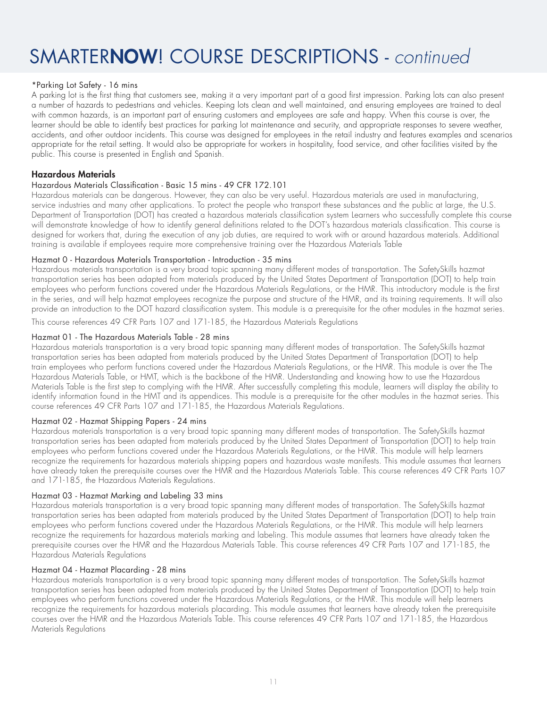#### \*Parking Lot Safety - 16 mins

A parking lot is the first thing that customers see, making it a very important part of a good first impression. Parking lots can also present a number of hazards to pedestrians and vehicles. Keeping lots clean and well maintained, and ensuring employees are trained to deal with common hazards, is an important part of ensuring customers and employees are safe and happy. When this course is over, the learner should be able to identify best practices for parking lot maintenance and security, and appropriate responses to severe weather, accidents, and other outdoor incidents. This course was designed for employees in the retail industry and features examples and scenarios appropriate for the retail setting. It would also be appropriate for workers in hospitality, food service, and other facilities visited by the public. This course is presented in English and Spanish.

#### Hazardous Materials

#### Hazardous Materials Classification - Basic 15 mins - 49 CFR 172.101

Hazardous materials can be dangerous. However, they can also be very useful. Hazardous materials are used in manufacturing, service industries and many other applications. To protect the people who transport these substances and the public at large, the U.S. Department of Transportation (DOT) has created a hazardous materials classification system Learners who successfully complete this course will demonstrate knowledge of how to identify general definitions related to the DOT's hazardous materials classification. This course is designed for workers that, during the execution of any job duties, are required to work with or around hazardous materials. Additional training is available if employees require more comprehensive training over the Hazardous Materials Table

#### Hazmat 0 - Hazardous Materials Transportation - Introduction - 35 mins

Hazardous materials transportation is a very broad topic spanning many different modes of transportation. The SafetySkills hazmat transportation series has been adapted from materials produced by the United States Department of Transportation (DOT) to help train employees who perform functions covered under the Hazardous Materials Regulations, or the HMR. This introductory module is the first in the series, and will help hazmat employees recognize the purpose and structure of the HMR, and its training requirements. It will also provide an introduction to the DOT hazard classification system. This module is a prerequisite for the other modules in the hazmat series.

This course references 49 CFR Parts 107 and 171-185, the Hazardous Materials Regulations

#### Hazmat 01 - The Hazardous Materials Table - 28 mins

Hazardous materials transportation is a very broad topic spanning many different modes of transportation. The SafetySkills hazmat transportation series has been adapted from materials produced by the United States Department of Transportation (DOT) to help train employees who perform functions covered under the Hazardous Materials Regulations, or the HMR. This module is over the The Hazardous Materials Table, or HMT, which is the backbone of the HMR. Understanding and knowing how to use the Hazardous Materials Table is the first step to complying with the HMR. After successfully completing this module, learners will display the ability to identify information found in the HMT and its appendices. This module is a prerequisite for the other modules in the hazmat series. This course references 49 CFR Parts 107 and 171-185, the Hazardous Materials Regulations.

#### Hazmat 02 - Hazmat Shipping Papers - 24 mins

Hazardous materials transportation is a very broad topic spanning many different modes of transportation. The SafetySkills hazmat transportation series has been adapted from materials produced by the United States Department of Transportation (DOT) to help train employees who perform functions covered under the Hazardous Materials Regulations, or the HMR. This module will help learners recognize the requirements for hazardous materials shipping papers and hazardous waste manifests. This module assumes that learners have already taken the prerequisite courses over the HMR and the Hazardous Materials Table. This course references 49 CFR Parts 107 and 171-185, the Hazardous Materials Regulations.

#### Hazmat 03 - Hazmat Marking and Labeling 33 mins

Hazardous materials transportation is a very broad topic spanning many different modes of transportation. The SafetySkills hazmat transportation series has been adapted from materials produced by the United States Department of Transportation (DOT) to help train employees who perform functions covered under the Hazardous Materials Regulations, or the HMR. This module will help learners recognize the requirements for hazardous materials marking and labeling. This module assumes that learners have already taken the prerequisite courses over the HMR and the Hazardous Materials Table. This course references 49 CFR Parts 107 and 171-185, the Hazardous Materials Regulations

#### Hazmat 04 - Hazmat Placarding - 28 mins

Hazardous materials transportation is a very broad topic spanning many different modes of transportation. The SafetySkills hazmat transportation series has been adapted from materials produced by the United States Department of Transportation (DOT) to help train employees who perform functions covered under the Hazardous Materials Regulations, or the HMR. This module will help learners recognize the requirements for hazardous materials placarding. This module assumes that learners have already taken the prerequisite courses over the HMR and the Hazardous Materials Table. This course references 49 CFR Parts 107 and 171-185, the Hazardous Materials Regulations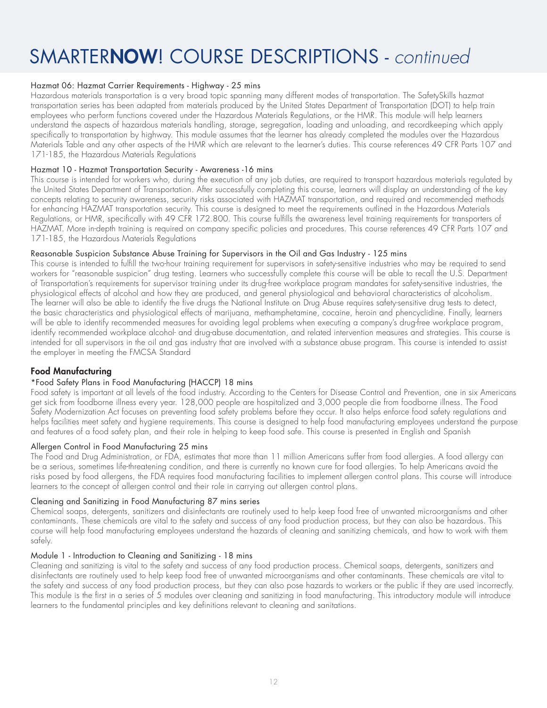#### Hazmat 06: Hazmat Carrier Requirements - Highway - 25 mins

Hazardous materials transportation is a very broad topic spanning many different modes of transportation. The SafetySkills hazmat transportation series has been adapted from materials produced by the United States Department of Transportation (DOT) to help train employees who perform functions covered under the Hazardous Materials Regulations, or the HMR. This module will help learners understand the aspects of hazardous materials handling, storage, segregation, loading and unloading, and recordkeeping which apply specifically to transportation by highway. This module assumes that the learner has already completed the modules over the Hazardous Materials Table and any other aspects of the HMR which are relevant to the learner's duties. This course references 49 CFR Parts 107 and 171-185, the Hazardous Materials Regulations

#### Hazmat 10 - Hazmat Transportation Security - Awareness -16 mins

This course is intended for workers who, during the execution of any job duties, are required to transport hazardous materials regulated by the United States Department of Transportation. After successfully completing this course, learners will display an understanding of the key concepts relating to security awareness, security risks associated with HAZMAT transportation, and required and recommended methods for enhancing HAZMAT transportation security. This course is designed to meet the requirements outlined in the Hazardous Materials Regulations, or HMR, specifically with 49 CFR 172.800. This course fulfills the awareness level training requirements for transporters of HAZMAT. More in-depth training is required on company specific policies and procedures. This course references 49 CFR Parts 107 and 171-185, the Hazardous Materials Regulations

#### Reasonable Suspicion Substance Abuse Training for Supervisors in the Oil and Gas Industry - 125 mins

This course is intended to fulfill the two-hour training requirement for supervisors in safety-sensitive industries who may be required to send workers for "reasonable suspicion" drug testing. Learners who successfully complete this course will be able to recall the U.S. Department of Transportation's requirements for supervisor training under its drug-free workplace program mandates for safety-sensitive industries, the physiological effects of alcohol and how they are produced, and general physiological and behavioral characteristics of alcoholism. The learner will also be able to identify the five drugs the National Institute on Drug Abuse requires safety-sensitive drug tests to detect, the basic characteristics and physiological effects of marijuana, methamphetamine, cocaine, heroin and phencyclidine. Finally, learners will be able to identify recommended measures for avoiding legal problems when executing a company's drug-free workplace program, identify recommended workplace alcohol- and drug-abuse documentation, and related intervention measures and strategies. This course is intended for all supervisors in the oil and gas industry that are involved with a substance abuse program. This course is intended to assist the employer in meeting the FMCSA Standard

#### Food Manufacturing

#### \*Food Safety Plans in Food Manufacturing (HACCP) 18 mins

Food safety is important at all levels of the food industry. According to the Centers for Disease Control and Prevention, one in six Americans get sick from foodborne illness every year. 128,000 people are hospitalized and 3,000 people die from foodborne illness. The Food Safety Modernization Act focuses on preventing food safety problems before they occur. It also helps enforce food safety regulations and helps facilities meet safety and hygiene requirements. This course is designed to help food manufacturing employees understand the purpose and features of a food safety plan, and their role in helping to keep food safe. This course is presented in English and Spanish

#### Allergen Control in Food Manufacturing 25 mins

The Food and Drug Administration, or FDA, estimates that more than 11 million Americans suffer from food allergies. A food allergy can be a serious, sometimes life-threatening condition, and there is currently no known cure for food allergies. To help Americans avoid the risks posed by food allergens, the FDA requires food manufacturing facilities to implement allergen control plans. This course will introduce learners to the concept of allergen control and their role in carrying out allergen control plans.

#### Cleaning and Sanitizing in Food Manufacturing 87 mins series

Chemical soaps, detergents, sanitizers and disinfectants are routinely used to help keep food free of unwanted microorganisms and other contaminants. These chemicals are vital to the safety and success of any food production process, but they can also be hazardous. This course will help food manufacturing employees understand the hazards of cleaning and sanitizing chemicals, and how to work with them safely.

#### Module 1 - Introduction to Cleaning and Sanitizing - 18 mins

Cleaning and sanitizing is vital to the safety and success of any food production process. Chemical soaps, detergents, sanitizers and disinfectants are routinely used to help keep food free of unwanted microorganisms and other contaminants. These chemicals are vital to the safety and success of any food production process, but they can also pose hazards to workers or the public if they are used incorrectly. This module is the first in a series of 5 modules over cleaning and sanitizing in food manufacturing. This introductory module will introduce learners to the fundamental principles and key definitions relevant to cleaning and sanitations.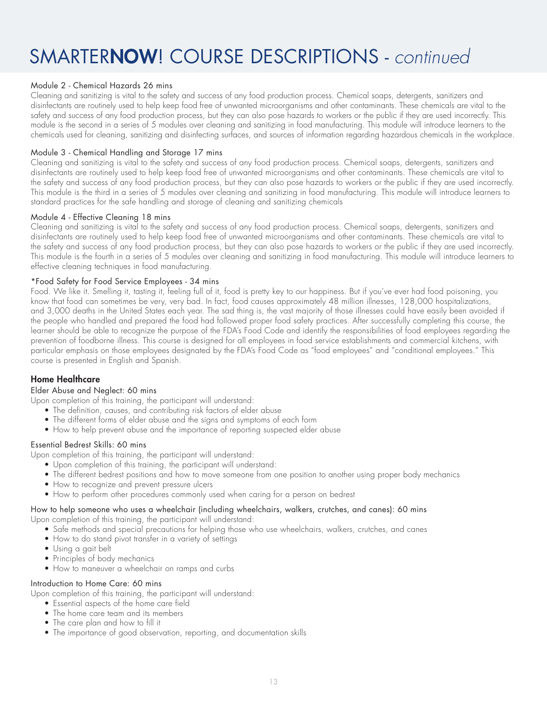#### Module 2 - Chemical Hazards 26 mins

Cleaning and sanitizing is vital to the safety and success of any food production process. Chemical soaps, detergents, sanitizers and disinfectants are routinely used to help keep food free of unwanted microorganisms and other contaminants. These chemicals are vital to the safety and success of any food production process, but they can also pose hazards to workers or the public if they are used incorrectly. This module is the second in a series of 5 modules over cleaning and sanitizing in food manufacturing. This module will introduce learners to the chemicals used for cleaning, sanitizing and disinfecting surfaces, and sources of information regarding hazardous chemicals in the workplace.

#### Module 3 - Chemical Handling and Storage 17 mins

Cleaning and sanitizing is vital to the safety and success of any food production process. Chemical soaps, detergents, sanitizers and disinfectants are routinely used to help keep food free of unwanted microorganisms and other contaminants. These chemicals are vital to the safety and success of any food production process, but they can also pose hazards to workers or the public if they are used incorrectly. This module is the third in a series of 5 modules over cleaning and sanitizing in food manufacturing. This module will introduce learners to standard practices for the safe handling and storage of cleaning and sanitizing chemicals

#### Module 4 - Effective Cleaning 18 mins

Cleaning and sanitizing is vital to the safety and success of any food production process. Chemical soaps, detergents, sanitizers and disinfectants are routinely used to help keep food free of unwanted microorganisms and other contaminants. These chemicals are vital to the safety and success of any food production process, but they can also pose hazards to workers or the public if they are used incorrectly. This module is the fourth in a series of 5 modules over cleaning and sanitizing in food manufacturing. This module will introduce learners to effective cleaning techniques in food manufacturing.

#### \*Food Safety for Food Service Employees - 34 mins

Food. We like it. Smelling it, tasting it, feeling full of it, food is pretty key to our happiness. But if you've ever had food poisoning, you know that food can sometimes be very, very bad. In fact, food causes approximately 48 million illnesses, 128,000 hospitalizations, and 3,000 deaths in the United States each year. The sad thing is, the vast majority of those illnesses could have easily been avoided if the people who handled and prepared the food had followed proper food safety practices. After successfully completing this course, the learner should be able to recognize the purpose of the FDA's Food Code and identify the responsibilities of food employees regarding the prevention of foodborne illness. This course is designed for all employees in food service establishments and commercial kitchens, with particular emphasis on those employees designated by the FDA's Food Code as "food employees" and "conditional employees." This course is presented in English and Spanish.

#### Home Healthcare

#### Elder Abuse and Neglect: 60 mins

Upon completion of this training, the participant will understand:

- The definition, causes, and contributing risk factors of elder abuse
- The different forms of elder abuse and the signs and symptoms of each form
- How to help prevent abuse and the importance of reporting suspected elder abuse

#### Essential Bedrest Skills: 60 mins

Upon completion of this training, the participant will understand:

- Upon completion of this training, the participant will understand:
- The different bedrest positions and how to move someone from one position to another using proper body mechanics
- How to recognize and prevent pressure ulcers
- How to perform other procedures commonly used when caring for a person on bedrest

### How to help someone who uses a wheelchair (including wheelchairs, walkers, crutches, and canes): 60 mins

Upon completion of this training, the participant will understand:

- Safe methods and special precautions for helping those who use wheelchairs, walkers, crutches, and canes
- How to do stand pivot transfer in a variety of settings
- Using a gait belt
- Principles of body mechanics
- How to maneuver a wheelchair on ramps and curbs

#### Introduction to Home Care: 60 mins

Upon completion of this training, the participant will understand:

- Essential aspects of the home care field
- The home care team and its members
- The care plan and how to fill it
- The importance of good observation, reporting, and documentation skills